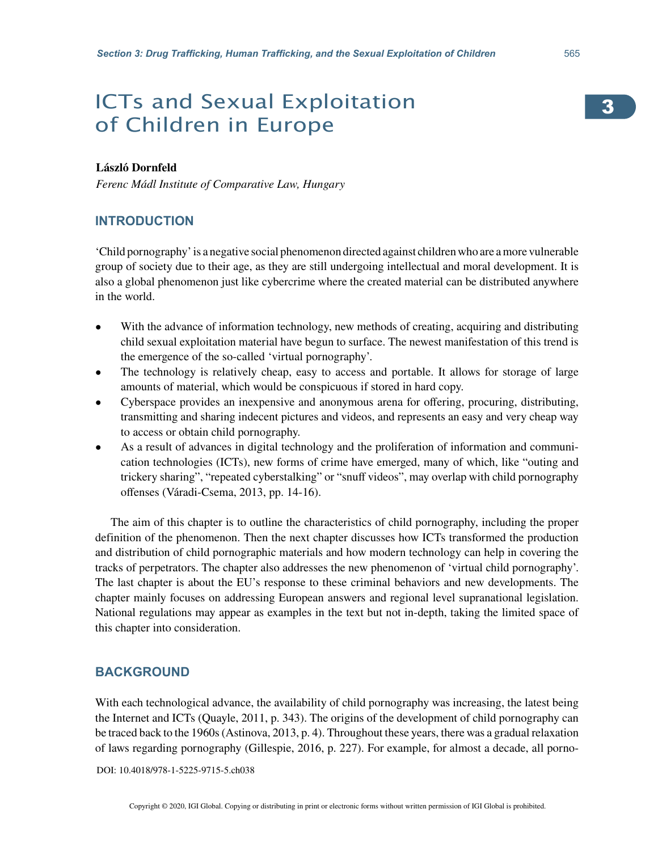# ICTs and Sexual Exploitation of Children in Europe

#### **László Dornfeld**

*Ferenc Mádl Institute of Comparative Law, Hungary*

## **INTRODUCTION**

'Child pornography' is a negative social phenomenon directed against children who are a more vulnerable group of society due to their age, as they are still undergoing intellectual and moral development. It is also a global phenomenon just like cybercrime where the created material can be distributed anywhere in the world.

- With the advance of information technology, new methods of creating, acquiring and distributing child sexual exploitation material have begun to surface. The newest manifestation of this trend is the emergence of the so-called 'virtual pornography'.
- The technology is relatively cheap, easy to access and portable. It allows for storage of large amounts of material, which would be conspicuous if stored in hard copy.
- Cyberspace provides an inexpensive and anonymous arena for offering, procuring, distributing, transmitting and sharing indecent pictures and videos, and represents an easy and very cheap way to access or obtain child pornography.
- As a result of advances in digital technology and the proliferation of information and communication technologies (ICTs), new forms of crime have emerged, many of which, like "outing and trickery sharing", "repeated cyberstalking" or "snuff videos", may overlap with child pornography offenses (Váradi-Csema, 2013, pp. 14-16).

The aim of this chapter is to outline the characteristics of child pornography, including the proper definition of the phenomenon. Then the next chapter discusses how ICTs transformed the production and distribution of child pornographic materials and how modern technology can help in covering the tracks of perpetrators. The chapter also addresses the new phenomenon of 'virtual child pornography'. The last chapter is about the EU's response to these criminal behaviors and new developments. The chapter mainly focuses on addressing European answers and regional level supranational legislation. National regulations may appear as examples in the text but not in-depth, taking the limited space of this chapter into consideration.

#### **BACKGROUND**

With each technological advance, the availability of child pornography was increasing, the latest being the Internet and ICTs (Quayle, 2011, p. 343). The origins of the development of child pornography can be traced back to the 1960s (Astinova, 2013, p. 4). Throughout these years, there was a gradual relaxation of laws regarding pornography (Gillespie, 2016, p. 227). For example, for almost a decade, all porno-

DOI: 10.4018/978-1-5225-9715-5.ch038

3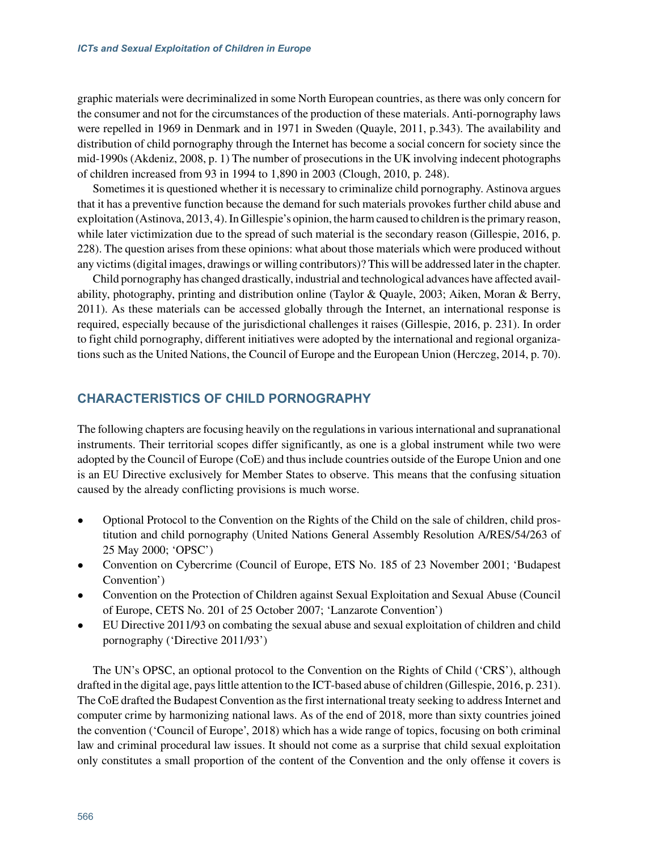graphic materials were decriminalized in some North European countries, as there was only concern for the consumer and not for the circumstances of the production of these materials. Anti-pornography laws were repelled in 1969 in Denmark and in 1971 in Sweden (Quayle, 2011, p.343). The availability and distribution of child pornography through the Internet has become a social concern for society since the mid-1990s (Akdeniz, 2008, p. 1) The number of prosecutions in the UK involving indecent photographs of children increased from 93 in 1994 to 1,890 in 2003 (Clough, 2010, p. 248).

Sometimes it is questioned whether it is necessary to criminalize child pornography. Astinova argues that it has a preventive function because the demand for such materials provokes further child abuse and exploitation (Astinova, 2013, 4). In Gillespie's opinion, the harm caused to children is the primary reason, while later victimization due to the spread of such material is the secondary reason (Gillespie, 2016, p. 228). The question arises from these opinions: what about those materials which were produced without any victims (digital images, drawings or willing contributors)? This will be addressed later in the chapter.

Child pornography has changed drastically, industrial and technological advances have affected availability, photography, printing and distribution online (Taylor & Quayle, 2003; Aiken, Moran & Berry, 2011). As these materials can be accessed globally through the Internet, an international response is required, especially because of the jurisdictional challenges it raises (Gillespie, 2016, p. 231). In order to fight child pornography, different initiatives were adopted by the international and regional organizations such as the United Nations, the Council of Europe and the European Union (Herczeg, 2014, p. 70).

# **CHARACTERISTICS OF CHILD PORNOGRAPHY**

The following chapters are focusing heavily on the regulations in various international and supranational instruments. Their territorial scopes differ significantly, as one is a global instrument while two were adopted by the Council of Europe (CoE) and thus include countries outside of the Europe Union and one is an EU Directive exclusively for Member States to observe. This means that the confusing situation caused by the already conflicting provisions is much worse.

- Optional Protocol to the Convention on the Rights of the Child on the sale of children, child prostitution and child pornography (United Nations General Assembly Resolution A/RES/54/263 of 25 May 2000; 'OPSC')
- Convention on Cybercrime (Council of Europe, ETS No. 185 of 23 November 2001; 'Budapest Convention')
- Convention on the Protection of Children against Sexual Exploitation and Sexual Abuse (Council of Europe, CETS No. 201 of 25 October 2007; 'Lanzarote Convention')
- EU Directive 2011/93 on combating the sexual abuse and sexual exploitation of children and child pornography ('Directive 2011/93')

The UN's OPSC, an optional protocol to the Convention on the Rights of Child ('CRS'), although drafted in the digital age, pays little attention to the ICT-based abuse of children (Gillespie, 2016, p. 231). The CoE drafted the Budapest Convention as the first international treaty seeking to address Internet and computer crime by harmonizing national laws. As of the end of 2018, more than sixty countries joined the convention ('Council of Europe', 2018) which has a wide range of topics, focusing on both criminal law and criminal procedural law issues. It should not come as a surprise that child sexual exploitation only constitutes a small proportion of the content of the Convention and the only offense it covers is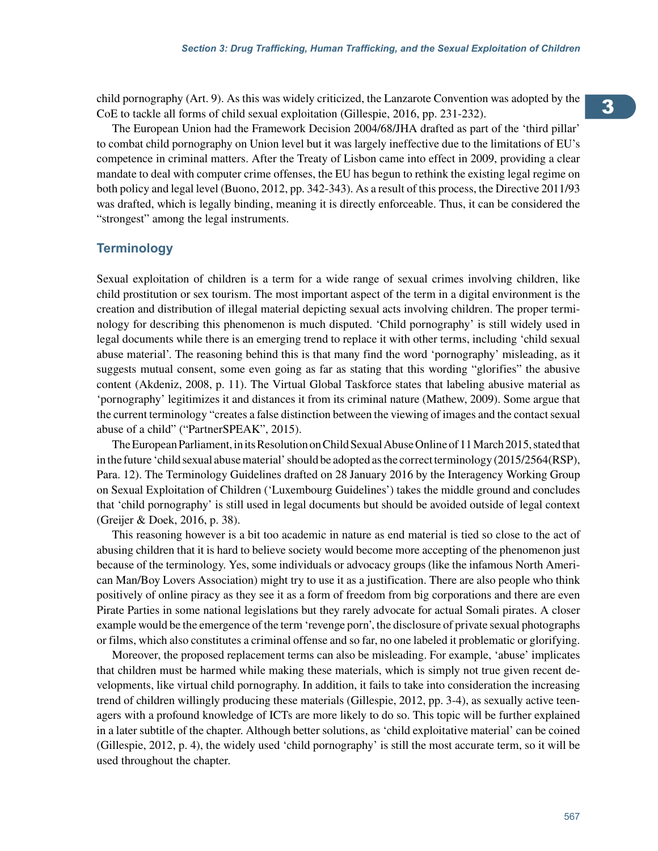child pornography (Art. 9). As this was widely criticized, the Lanzarote Convention was adopted by the CoE to tackle all forms of child sexual exploitation (Gillespie, 2016, pp. 231-232).

The European Union had the Framework Decision 2004/68/JHA drafted as part of the 'third pillar' to combat child pornography on Union level but it was largely ineffective due to the limitations of EU's competence in criminal matters. After the Treaty of Lisbon came into effect in 2009, providing a clear mandate to deal with computer crime offenses, the EU has begun to rethink the existing legal regime on both policy and legal level (Buono, 2012, pp. 342-343). As a result of this process, the Directive 2011/93 was drafted, which is legally binding, meaning it is directly enforceable. Thus, it can be considered the "strongest" among the legal instruments.

## **Terminology**

Sexual exploitation of children is a term for a wide range of sexual crimes involving children, like child prostitution or sex tourism. The most important aspect of the term in a digital environment is the creation and distribution of illegal material depicting sexual acts involving children. The proper terminology for describing this phenomenon is much disputed. 'Child pornography' is still widely used in legal documents while there is an emerging trend to replace it with other terms, including 'child sexual abuse material'. The reasoning behind this is that many find the word 'pornography' misleading, as it suggests mutual consent, some even going as far as stating that this wording "glorifies" the abusive content (Akdeniz, 2008, p. 11). The Virtual Global Taskforce states that labeling abusive material as 'pornography' legitimizes it and distances it from its criminal nature (Mathew, 2009). Some argue that the current terminology "creates a false distinction between the viewing of images and the contact sexual abuse of a child" ("PartnerSPEAK", 2015).

The European Parliament, in its Resolution on Child Sexual Abuse Online of 11 March 2015, stated that in the future 'child sexual abuse material' should be adopted as the correct terminology (2015/2564(RSP), Para. 12). The Terminology Guidelines drafted on 28 January 2016 by the Interagency Working Group on Sexual Exploitation of Children ('Luxembourg Guidelines') takes the middle ground and concludes that 'child pornography' is still used in legal documents but should be avoided outside of legal context (Greijer & Doek, 2016, p. 38).

This reasoning however is a bit too academic in nature as end material is tied so close to the act of abusing children that it is hard to believe society would become more accepting of the phenomenon just because of the terminology. Yes, some individuals or advocacy groups (like the infamous North American Man/Boy Lovers Association) might try to use it as a justification. There are also people who think positively of online piracy as they see it as a form of freedom from big corporations and there are even Pirate Parties in some national legislations but they rarely advocate for actual Somali pirates. A closer example would be the emergence of the term 'revenge porn', the disclosure of private sexual photographs or films, which also constitutes a criminal offense and so far, no one labeled it problematic or glorifying.

Moreover, the proposed replacement terms can also be misleading. For example, 'abuse' implicates that children must be harmed while making these materials, which is simply not true given recent developments, like virtual child pornography. In addition, it fails to take into consideration the increasing trend of children willingly producing these materials (Gillespie, 2012, pp. 3-4), as sexually active teenagers with a profound knowledge of ICTs are more likely to do so. This topic will be further explained in a later subtitle of the chapter. Although better solutions, as 'child exploitative material' can be coined (Gillespie, 2012, p. 4), the widely used 'child pornography' is still the most accurate term, so it will be used throughout the chapter.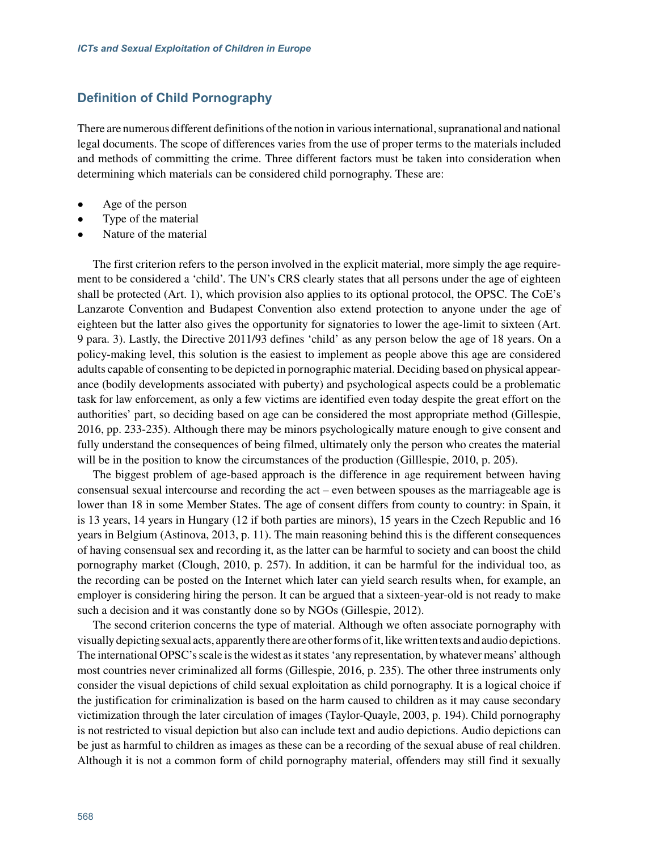## **Definition of Child Pornography**

There are numerous different definitions of the notion in various international, supranational and national legal documents. The scope of differences varies from the use of proper terms to the materials included and methods of committing the crime. Three different factors must be taken into consideration when determining which materials can be considered child pornography. These are:

- Age of the person
- Type of the material
- Nature of the material

The first criterion refers to the person involved in the explicit material, more simply the age requirement to be considered a 'child'. The UN's CRS clearly states that all persons under the age of eighteen shall be protected (Art. 1), which provision also applies to its optional protocol, the OPSC. The CoE's Lanzarote Convention and Budapest Convention also extend protection to anyone under the age of eighteen but the latter also gives the opportunity for signatories to lower the age-limit to sixteen (Art. 9 para. 3). Lastly, the Directive 2011/93 defines 'child' as any person below the age of 18 years. On a policy-making level, this solution is the easiest to implement as people above this age are considered adults capable of consenting to be depicted in pornographic material. Deciding based on physical appearance (bodily developments associated with puberty) and psychological aspects could be a problematic task for law enforcement, as only a few victims are identified even today despite the great effort on the authorities' part, so deciding based on age can be considered the most appropriate method (Gillespie, 2016, pp. 233-235). Although there may be minors psychologically mature enough to give consent and fully understand the consequences of being filmed, ultimately only the person who creates the material will be in the position to know the circumstances of the production (Gilllespie, 2010, p. 205).

The biggest problem of age-based approach is the difference in age requirement between having consensual sexual intercourse and recording the act – even between spouses as the marriageable age is lower than 18 in some Member States. The age of consent differs from county to country: in Spain, it is 13 years, 14 years in Hungary (12 if both parties are minors), 15 years in the Czech Republic and 16 years in Belgium (Astinova, 2013, p. 11). The main reasoning behind this is the different consequences of having consensual sex and recording it, as the latter can be harmful to society and can boost the child pornography market (Clough, 2010, p. 257). In addition, it can be harmful for the individual too, as the recording can be posted on the Internet which later can yield search results when, for example, an employer is considering hiring the person. It can be argued that a sixteen-year-old is not ready to make such a decision and it was constantly done so by NGOs (Gillespie, 2012).

The second criterion concerns the type of material. Although we often associate pornography with visually depicting sexual acts, apparently there are other forms of it, like written texts and audio depictions. The international OPSC's scale is the widest as it states 'any representation, by whatever means' although most countries never criminalized all forms (Gillespie, 2016, p. 235). The other three instruments only consider the visual depictions of child sexual exploitation as child pornography. It is a logical choice if the justification for criminalization is based on the harm caused to children as it may cause secondary victimization through the later circulation of images (Taylor-Quayle, 2003, p. 194). Child pornography is not restricted to visual depiction but also can include text and audio depictions. Audio depictions can be just as harmful to children as images as these can be a recording of the sexual abuse of real children. Although it is not a common form of child pornography material, offenders may still find it sexually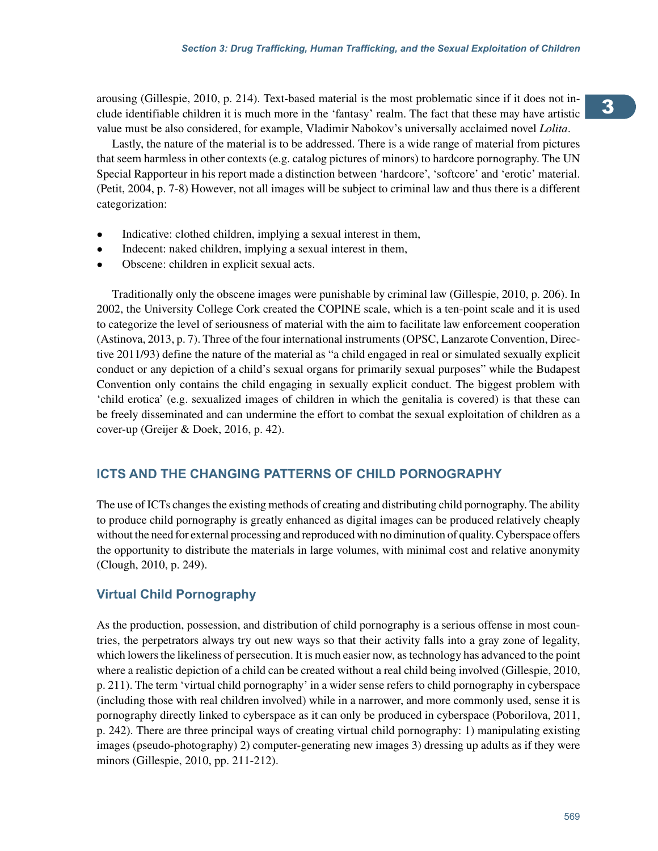arousing (Gillespie, 2010, p. 214). Text-based material is the most problematic since if it does not include identifiable children it is much more in the 'fantasy' realm. The fact that these may have artistic value must be also considered, for example, Vladimir Nabokov's universally acclaimed novel *Lolita*.

Lastly, the nature of the material is to be addressed. There is a wide range of material from pictures that seem harmless in other contexts (e.g. catalog pictures of minors) to hardcore pornography. The UN Special Rapporteur in his report made a distinction between 'hardcore', 'softcore' and 'erotic' material. (Petit, 2004, p. 7-8) However, not all images will be subject to criminal law and thus there is a different categorization:

- Indicative: clothed children, implying a sexual interest in them,
- Indecent: naked children, implying a sexual interest in them,
- Obscene: children in explicit sexual acts.

Traditionally only the obscene images were punishable by criminal law (Gillespie, 2010, p. 206). In 2002, the University College Cork created the COPINE scale, which is a ten-point scale and it is used to categorize the level of seriousness of material with the aim to facilitate law enforcement cooperation (Astinova, 2013, p. 7). Three of the four international instruments (OPSC, Lanzarote Convention, Directive 2011/93) define the nature of the material as "a child engaged in real or simulated sexually explicit conduct or any depiction of a child's sexual organs for primarily sexual purposes" while the Budapest Convention only contains the child engaging in sexually explicit conduct. The biggest problem with 'child erotica' (e.g. sexualized images of children in which the genitalia is covered) is that these can be freely disseminated and can undermine the effort to combat the sexual exploitation of children as a cover-up (Greijer & Doek, 2016, p. 42).

# **ICTS AND THE CHANGING PATTERNS OF CHILD PORNOGRAPHY**

The use of ICTs changes the existing methods of creating and distributing child pornography. The ability to produce child pornography is greatly enhanced as digital images can be produced relatively cheaply without the need for external processing and reproduced with no diminution of quality. Cyberspace offers the opportunity to distribute the materials in large volumes, with minimal cost and relative anonymity (Clough, 2010, p. 249).

#### **Virtual Child Pornography**

As the production, possession, and distribution of child pornography is a serious offense in most countries, the perpetrators always try out new ways so that their activity falls into a gray zone of legality, which lowers the likeliness of persecution. It is much easier now, as technology has advanced to the point where a realistic depiction of a child can be created without a real child being involved (Gillespie, 2010, p. 211). The term 'virtual child pornography' in a wider sense refers to child pornography in cyberspace (including those with real children involved) while in a narrower, and more commonly used, sense it is pornography directly linked to cyberspace as it can only be produced in cyberspace (Poborilova, 2011, p. 242). There are three principal ways of creating virtual child pornography: 1) manipulating existing images (pseudo-photography) 2) computer-generating new images 3) dressing up adults as if they were minors (Gillespie, 2010, pp. 211-212).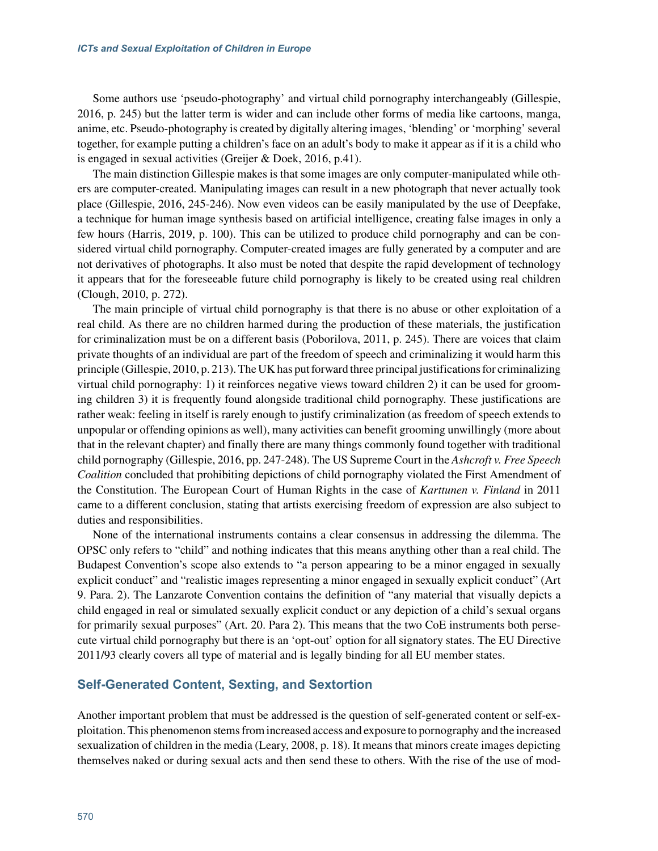Some authors use 'pseudo-photography' and virtual child pornography interchangeably (Gillespie, 2016, p. 245) but the latter term is wider and can include other forms of media like cartoons, manga, anime, etc. Pseudo-photography is created by digitally altering images, 'blending' or 'morphing' several together, for example putting a children's face on an adult's body to make it appear as if it is a child who is engaged in sexual activities (Greijer & Doek, 2016, p.41).

The main distinction Gillespie makes is that some images are only computer-manipulated while others are computer-created. Manipulating images can result in a new photograph that never actually took place (Gillespie, 2016, 245-246). Now even videos can be easily manipulated by the use of Deepfake, a technique for human image synthesis based on artificial intelligence, creating false images in only a few hours (Harris, 2019, p. 100). This can be utilized to produce child pornography and can be considered virtual child pornography. Computer-created images are fully generated by a computer and are not derivatives of photographs. It also must be noted that despite the rapid development of technology it appears that for the foreseeable future child pornography is likely to be created using real children (Clough, 2010, p. 272).

The main principle of virtual child pornography is that there is no abuse or other exploitation of a real child. As there are no children harmed during the production of these materials, the justification for criminalization must be on a different basis (Poborilova, 2011, p. 245). There are voices that claim private thoughts of an individual are part of the freedom of speech and criminalizing it would harm this principle (Gillespie, 2010, p. 213). The UK has put forward three principal justifications for criminalizing virtual child pornography: 1) it reinforces negative views toward children 2) it can be used for grooming children 3) it is frequently found alongside traditional child pornography. These justifications are rather weak: feeling in itself is rarely enough to justify criminalization (as freedom of speech extends to unpopular or offending opinions as well), many activities can benefit grooming unwillingly (more about that in the relevant chapter) and finally there are many things commonly found together with traditional child pornography (Gillespie, 2016, pp. 247-248). The US Supreme Court in the *Ashcroft v. Free Speech Coalition* concluded that prohibiting depictions of child pornography violated the First Amendment of the Constitution. The European Court of Human Rights in the case of *Karttunen v. Finland* in 2011 came to a different conclusion, stating that artists exercising freedom of expression are also subject to duties and responsibilities.

None of the international instruments contains a clear consensus in addressing the dilemma. The OPSC only refers to "child" and nothing indicates that this means anything other than a real child. The Budapest Convention's scope also extends to "a person appearing to be a minor engaged in sexually explicit conduct" and "realistic images representing a minor engaged in sexually explicit conduct" (Art 9. Para. 2). The Lanzarote Convention contains the definition of "any material that visually depicts a child engaged in real or simulated sexually explicit conduct or any depiction of a child's sexual organs for primarily sexual purposes" (Art. 20. Para 2). This means that the two CoE instruments both persecute virtual child pornography but there is an 'opt-out' option for all signatory states. The EU Directive 2011/93 clearly covers all type of material and is legally binding for all EU member states.

#### **Self-Generated Content, Sexting, and Sextortion**

Another important problem that must be addressed is the question of self-generated content or self-exploitation. This phenomenon stems from increased access and exposure to pornography and the increased sexualization of children in the media (Leary, 2008, p. 18). It means that minors create images depicting themselves naked or during sexual acts and then send these to others. With the rise of the use of mod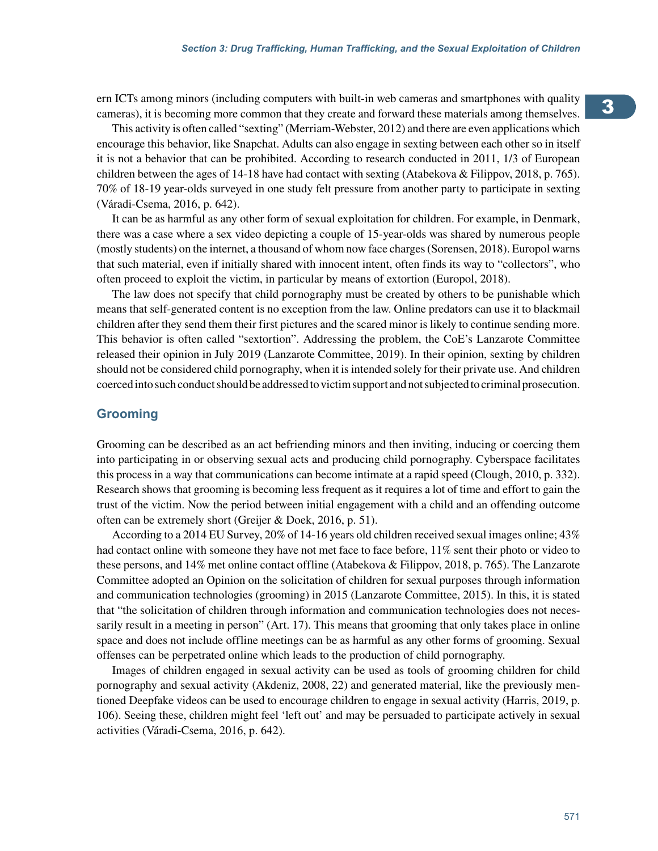ern ICTs among minors (including computers with built-in web cameras and smartphones with quality cameras), it is becoming more common that they create and forward these materials among themselves.

This activity is often called "sexting" (Merriam-Webster, 2012) and there are even applications which encourage this behavior, like Snapchat. Adults can also engage in sexting between each other so in itself it is not a behavior that can be prohibited. According to research conducted in 2011, 1/3 of European children between the ages of 14-18 have had contact with sexting (Atabekova & Filippov, 2018, p. 765). 70% of 18-19 year-olds surveyed in one study felt pressure from another party to participate in sexting (Váradi-Csema, 2016, p. 642).

It can be as harmful as any other form of sexual exploitation for children. For example, in Denmark, there was a case where a sex video depicting a couple of 15-year-olds was shared by numerous people (mostly students) on the internet, a thousand of whom now face charges (Sorensen, 2018). Europol warns that such material, even if initially shared with innocent intent, often finds its way to "collectors", who often proceed to exploit the victim, in particular by means of extortion (Europol, 2018).

The law does not specify that child pornography must be created by others to be punishable which means that self-generated content is no exception from the law. Online predators can use it to blackmail children after they send them their first pictures and the scared minor is likely to continue sending more. This behavior is often called "sextortion". Addressing the problem, the CoE's Lanzarote Committee released their opinion in July 2019 (Lanzarote Committee, 2019). In their opinion, sexting by children should not be considered child pornography, when it is intended solely for their private use. And children coerced into such conduct should be addressed to victim support and not subjected to criminal prosecution.

#### **Grooming**

Grooming can be described as an act befriending minors and then inviting, inducing or coercing them into participating in or observing sexual acts and producing child pornography. Cyberspace facilitates this process in a way that communications can become intimate at a rapid speed (Clough, 2010, p. 332). Research shows that grooming is becoming less frequent as it requires a lot of time and effort to gain the trust of the victim. Now the period between initial engagement with a child and an offending outcome often can be extremely short (Greijer & Doek, 2016, p. 51).

According to a 2014 EU Survey, 20% of 14-16 years old children received sexual images online; 43% had contact online with someone they have not met face to face before, 11% sent their photo or video to these persons, and 14% met online contact offline (Atabekova & Filippov, 2018, p. 765). The Lanzarote Committee adopted an Opinion on the solicitation of children for sexual purposes through information and communication technologies (grooming) in 2015 (Lanzarote Committee, 2015). In this, it is stated that "the solicitation of children through information and communication technologies does not necessarily result in a meeting in person" (Art. 17). This means that grooming that only takes place in online space and does not include offline meetings can be as harmful as any other forms of grooming. Sexual offenses can be perpetrated online which leads to the production of child pornography.

Images of children engaged in sexual activity can be used as tools of grooming children for child pornography and sexual activity (Akdeniz, 2008, 22) and generated material, like the previously mentioned Deepfake videos can be used to encourage children to engage in sexual activity (Harris, 2019, p. 106). Seeing these, children might feel 'left out' and may be persuaded to participate actively in sexual activities (Váradi-Csema, 2016, p. 642).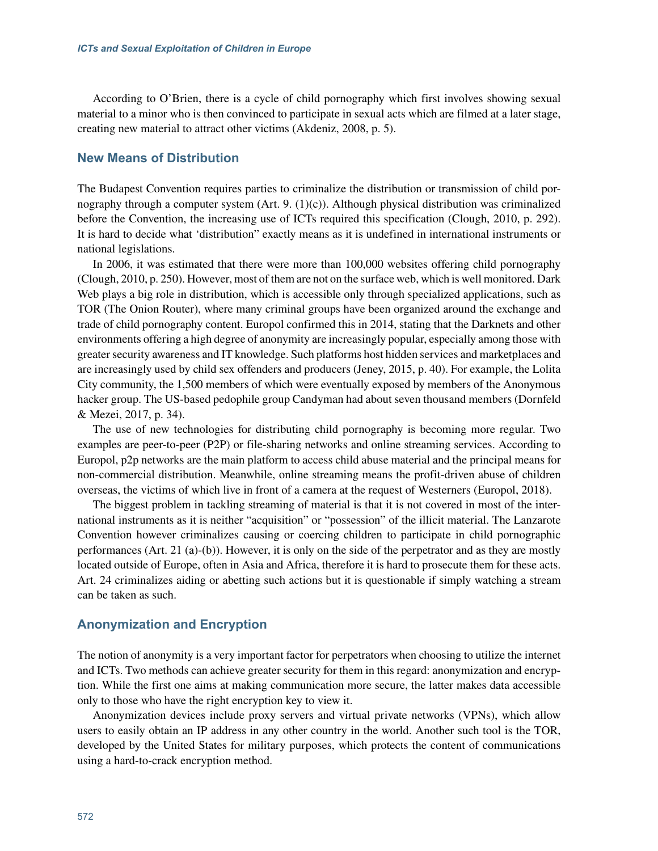According to O'Brien, there is a cycle of child pornography which first involves showing sexual material to a minor who is then convinced to participate in sexual acts which are filmed at a later stage, creating new material to attract other victims (Akdeniz, 2008, p. 5).

#### **New Means of Distribution**

The Budapest Convention requires parties to criminalize the distribution or transmission of child pornography through a computer system  $(Art. 9. (1)(c))$ . Although physical distribution was criminalized before the Convention, the increasing use of ICTs required this specification (Clough, 2010, p. 292). It is hard to decide what 'distribution" exactly means as it is undefined in international instruments or national legislations.

In 2006, it was estimated that there were more than 100,000 websites offering child pornography (Clough, 2010, p. 250). However, most of them are not on the surface web, which is well monitored. Dark Web plays a big role in distribution, which is accessible only through specialized applications, such as TOR (The Onion Router), where many criminal groups have been organized around the exchange and trade of child pornography content. Europol confirmed this in 2014, stating that the Darknets and other environments offering a high degree of anonymity are increasingly popular, especially among those with greater security awareness and IT knowledge. Such platforms host hidden services and marketplaces and are increasingly used by child sex offenders and producers (Jeney, 2015, p. 40). For example, the Lolita City community, the 1,500 members of which were eventually exposed by members of the Anonymous hacker group. The US-based pedophile group Candyman had about seven thousand members (Dornfeld & Mezei, 2017, p. 34).

The use of new technologies for distributing child pornography is becoming more regular. Two examples are peer-to-peer (P2P) or file-sharing networks and online streaming services. According to Europol, p2p networks are the main platform to access child abuse material and the principal means for non-commercial distribution. Meanwhile, online streaming means the profit-driven abuse of children overseas, the victims of which live in front of a camera at the request of Westerners (Europol, 2018).

The biggest problem in tackling streaming of material is that it is not covered in most of the international instruments as it is neither "acquisition" or "possession" of the illicit material. The Lanzarote Convention however criminalizes causing or coercing children to participate in child pornographic performances (Art. 21 (a)-(b)). However, it is only on the side of the perpetrator and as they are mostly located outside of Europe, often in Asia and Africa, therefore it is hard to prosecute them for these acts. Art. 24 criminalizes aiding or abetting such actions but it is questionable if simply watching a stream can be taken as such.

#### **Anonymization and Encryption**

The notion of anonymity is a very important factor for perpetrators when choosing to utilize the internet and ICTs. Two methods can achieve greater security for them in this regard: anonymization and encryption. While the first one aims at making communication more secure, the latter makes data accessible only to those who have the right encryption key to view it.

Anonymization devices include proxy servers and virtual private networks (VPNs), which allow users to easily obtain an IP address in any other country in the world. Another such tool is the TOR, developed by the United States for military purposes, which protects the content of communications using a hard-to-crack encryption method.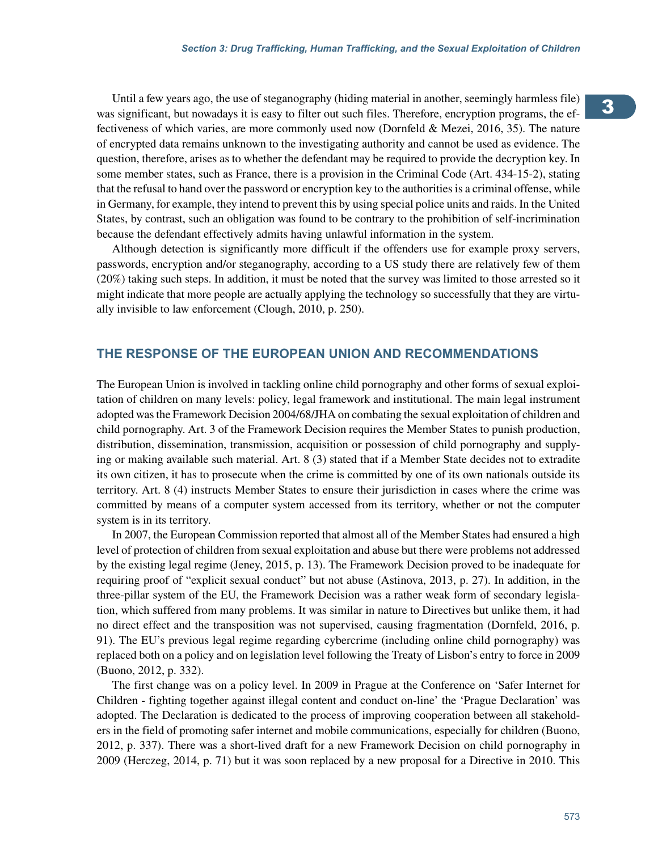Until a few years ago, the use of steganography (hiding material in another, seemingly harmless file) was significant, but nowadays it is easy to filter out such files. Therefore, encryption programs, the effectiveness of which varies, are more commonly used now (Dornfeld & Mezei, 2016, 35). The nature of encrypted data remains unknown to the investigating authority and cannot be used as evidence. The question, therefore, arises as to whether the defendant may be required to provide the decryption key. In some member states, such as France, there is a provision in the Criminal Code (Art. 434-15-2), stating that the refusal to hand over the password or encryption key to the authorities is a criminal offense, while in Germany, for example, they intend to prevent this by using special police units and raids. In the United States, by contrast, such an obligation was found to be contrary to the prohibition of self-incrimination because the defendant effectively admits having unlawful information in the system.

Although detection is significantly more difficult if the offenders use for example proxy servers, passwords, encryption and/or steganography, according to a US study there are relatively few of them (20%) taking such steps. In addition, it must be noted that the survey was limited to those arrested so it might indicate that more people are actually applying the technology so successfully that they are virtually invisible to law enforcement (Clough, 2010, p. 250).

#### **THE RESPONSE OF THE EUROPEAN UNION AND RECOMMENDATIONS**

The European Union is involved in tackling online child pornography and other forms of sexual exploitation of children on many levels: policy, legal framework and institutional. The main legal instrument adopted was the Framework Decision 2004/68/JHA on combating the sexual exploitation of children and child pornography. Art. 3 of the Framework Decision requires the Member States to punish production, distribution, dissemination, transmission, acquisition or possession of child pornography and supplying or making available such material. Art. 8 (3) stated that if a Member State decides not to extradite its own citizen, it has to prosecute when the crime is committed by one of its own nationals outside its territory. Art. 8 (4) instructs Member States to ensure their jurisdiction in cases where the crime was committed by means of a computer system accessed from its territory, whether or not the computer system is in its territory.

In 2007, the European Commission reported that almost all of the Member States had ensured a high level of protection of children from sexual exploitation and abuse but there were problems not addressed by the existing legal regime (Jeney, 2015, p. 13). The Framework Decision proved to be inadequate for requiring proof of "explicit sexual conduct" but not abuse (Astinova, 2013, p. 27). In addition, in the three-pillar system of the EU, the Framework Decision was a rather weak form of secondary legislation, which suffered from many problems. It was similar in nature to Directives but unlike them, it had no direct effect and the transposition was not supervised, causing fragmentation (Dornfeld, 2016, p. 91). The EU's previous legal regime regarding cybercrime (including online child pornography) was replaced both on a policy and on legislation level following the Treaty of Lisbon's entry to force in 2009 (Buono, 2012, p. 332).

The first change was on a policy level. In 2009 in Prague at the Conference on 'Safer Internet for Children - fighting together against illegal content and conduct on-line' the 'Prague Declaration' was adopted. The Declaration is dedicated to the process of improving cooperation between all stakeholders in the field of promoting safer internet and mobile communications, especially for children (Buono, 2012, p. 337). There was a short-lived draft for a new Framework Decision on child pornography in 2009 (Herczeg, 2014, p. 71) but it was soon replaced by a new proposal for a Directive in 2010. This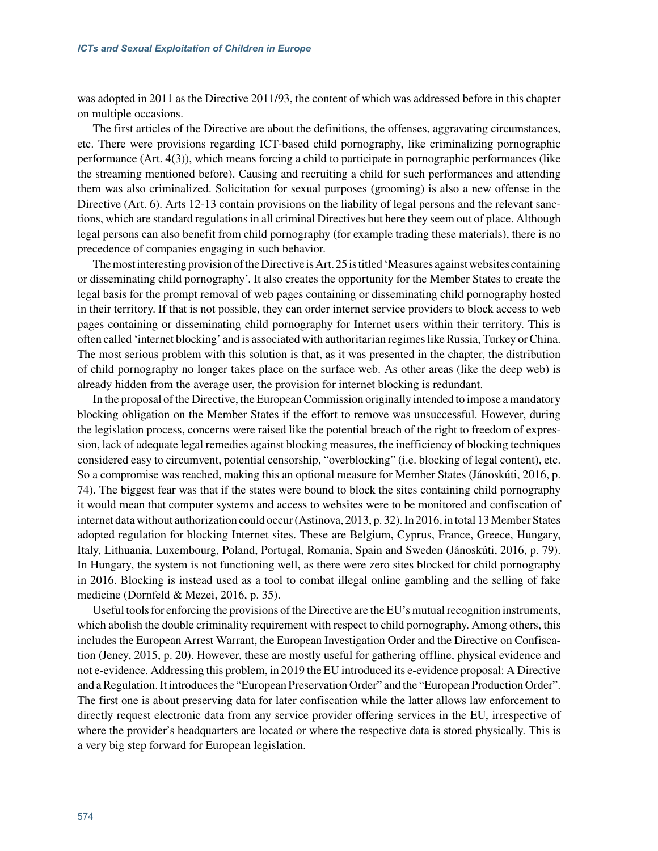was adopted in 2011 as the Directive 2011/93, the content of which was addressed before in this chapter on multiple occasions.

The first articles of the Directive are about the definitions, the offenses, aggravating circumstances, etc. There were provisions regarding ICT-based child pornography, like criminalizing pornographic performance (Art. 4(3)), which means forcing a child to participate in pornographic performances (like the streaming mentioned before). Causing and recruiting a child for such performances and attending them was also criminalized. Solicitation for sexual purposes (grooming) is also a new offense in the Directive (Art. 6). Arts 12-13 contain provisions on the liability of legal persons and the relevant sanctions, which are standard regulations in all criminal Directives but here they seem out of place. Although legal persons can also benefit from child pornography (for example trading these materials), there is no precedence of companies engaging in such behavior.

The most interesting provision of the Directive is Art. 25 is titled 'Measures against websites containing or disseminating child pornography'. It also creates the opportunity for the Member States to create the legal basis for the prompt removal of web pages containing or disseminating child pornography hosted in their territory. If that is not possible, they can order internet service providers to block access to web pages containing or disseminating child pornography for Internet users within their territory. This is often called 'internet blocking' and is associated with authoritarian regimes like Russia, Turkey or China. The most serious problem with this solution is that, as it was presented in the chapter, the distribution of child pornography no longer takes place on the surface web. As other areas (like the deep web) is already hidden from the average user, the provision for internet blocking is redundant.

In the proposal of the Directive, the European Commission originally intended to impose a mandatory blocking obligation on the Member States if the effort to remove was unsuccessful. However, during the legislation process, concerns were raised like the potential breach of the right to freedom of expression, lack of adequate legal remedies against blocking measures, the inefficiency of blocking techniques considered easy to circumvent, potential censorship, "overblocking" (i.e. blocking of legal content), etc. So a compromise was reached, making this an optional measure for Member States (Jánoskúti, 2016, p. 74). The biggest fear was that if the states were bound to block the sites containing child pornography it would mean that computer systems and access to websites were to be monitored and confiscation of internet data without authorization could occur (Astinova, 2013, p. 32). In 2016, in total 13 Member States adopted regulation for blocking Internet sites. These are Belgium, Cyprus, France, Greece, Hungary, Italy, Lithuania, Luxembourg, Poland, Portugal, Romania, Spain and Sweden (Jánoskúti, 2016, p. 79). In Hungary, the system is not functioning well, as there were zero sites blocked for child pornography in 2016. Blocking is instead used as a tool to combat illegal online gambling and the selling of fake medicine (Dornfeld & Mezei, 2016, p. 35).

Useful tools for enforcing the provisions of the Directive are the EU's mutual recognition instruments, which abolish the double criminality requirement with respect to child pornography. Among others, this includes the European Arrest Warrant, the European Investigation Order and the Directive on Confiscation (Jeney, 2015, p. 20). However, these are mostly useful for gathering offline, physical evidence and not e-evidence. Addressing this problem, in 2019 the EU introduced its e-evidence proposal: A Directive and a Regulation. It introduces the "European Preservation Order" and the "European Production Order". The first one is about preserving data for later confiscation while the latter allows law enforcement to directly request electronic data from any service provider offering services in the EU, irrespective of where the provider's headquarters are located or where the respective data is stored physically. This is a very big step forward for European legislation.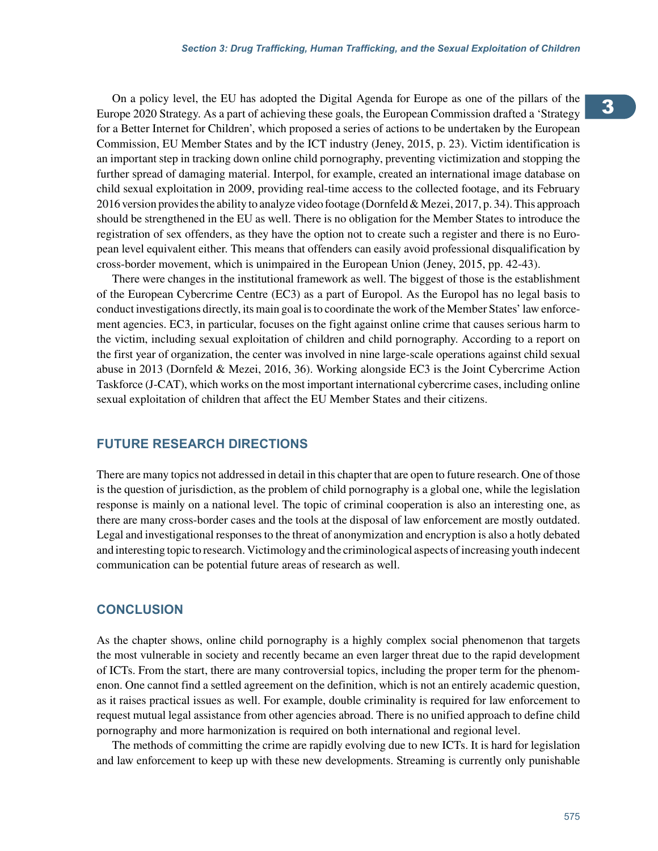On a policy level, the EU has adopted the Digital Agenda for Europe as one of the pillars of the Europe 2020 Strategy. As a part of achieving these goals, the European Commission drafted a 'Strategy for a Better Internet for Children', which proposed a series of actions to be undertaken by the European Commission, EU Member States and by the ICT industry (Jeney, 2015, p. 23). Victim identification is an important step in tracking down online child pornography, preventing victimization and stopping the further spread of damaging material. Interpol, for example, created an international image database on child sexual exploitation in 2009, providing real-time access to the collected footage, and its February 2016 version provides the ability to analyze video footage (Dornfeld & Mezei, 2017, p. 34). This approach should be strengthened in the EU as well. There is no obligation for the Member States to introduce the registration of sex offenders, as they have the option not to create such a register and there is no European level equivalent either. This means that offenders can easily avoid professional disqualification by cross-border movement, which is unimpaired in the European Union (Jeney, 2015, pp. 42-43).

There were changes in the institutional framework as well. The biggest of those is the establishment of the European Cybercrime Centre (EC3) as a part of Europol. As the Europol has no legal basis to conduct investigations directly, its main goal is to coordinate the work of the Member States' law enforcement agencies. EC3, in particular, focuses on the fight against online crime that causes serious harm to the victim, including sexual exploitation of children and child pornography. According to a report on the first year of organization, the center was involved in nine large-scale operations against child sexual abuse in 2013 (Dornfeld & Mezei, 2016, 36). Working alongside EC3 is the Joint Cybercrime Action Taskforce (J-CAT), which works on the most important international cybercrime cases, including online sexual exploitation of children that affect the EU Member States and their citizens.

## **FUTURE RESEARCH DIRECTIONS**

There are many topics not addressed in detail in this chapter that are open to future research. One of those is the question of jurisdiction, as the problem of child pornography is a global one, while the legislation response is mainly on a national level. The topic of criminal cooperation is also an interesting one, as there are many cross-border cases and the tools at the disposal of law enforcement are mostly outdated. Legal and investigational responses to the threat of anonymization and encryption is also a hotly debated and interesting topic to research. Victimology and the criminological aspects of increasing youth indecent communication can be potential future areas of research as well.

#### **CONCLUSION**

As the chapter shows, online child pornography is a highly complex social phenomenon that targets the most vulnerable in society and recently became an even larger threat due to the rapid development of ICTs. From the start, there are many controversial topics, including the proper term for the phenomenon. One cannot find a settled agreement on the definition, which is not an entirely academic question, as it raises practical issues as well. For example, double criminality is required for law enforcement to request mutual legal assistance from other agencies abroad. There is no unified approach to define child pornography and more harmonization is required on both international and regional level.

The methods of committing the crime are rapidly evolving due to new ICTs. It is hard for legislation and law enforcement to keep up with these new developments. Streaming is currently only punishable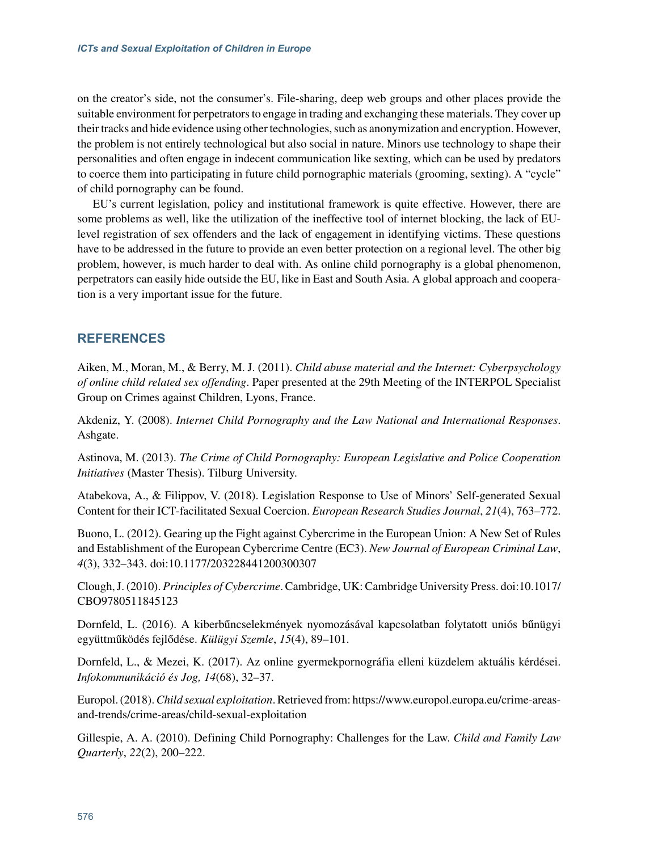on the creator's side, not the consumer's. File-sharing, deep web groups and other places provide the suitable environment for perpetrators to engage in trading and exchanging these materials. They cover up their tracks and hide evidence using other technologies, such as anonymization and encryption. However, the problem is not entirely technological but also social in nature. Minors use technology to shape their personalities and often engage in indecent communication like sexting, which can be used by predators to coerce them into participating in future child pornographic materials (grooming, sexting). A "cycle" of child pornography can be found.

EU's current legislation, policy and institutional framework is quite effective. However, there are some problems as well, like the utilization of the ineffective tool of internet blocking, the lack of EUlevel registration of sex offenders and the lack of engagement in identifying victims. These questions have to be addressed in the future to provide an even better protection on a regional level. The other big problem, however, is much harder to deal with. As online child pornography is a global phenomenon, perpetrators can easily hide outside the EU, like in East and South Asia. A global approach and cooperation is a very important issue for the future.

#### **REFERENCES**

Aiken, M., Moran, M., & Berry, M. J. (2011). *Child abuse material and the Internet: Cyberpsychology of online child related sex offending*. Paper presented at the 29th Meeting of the INTERPOL Specialist Group on Crimes against Children, Lyons, France.

Akdeniz, Y. (2008). *Internet Child Pornography and the Law National and International Responses*. Ashgate.

Astinova, M. (2013). *The Crime of Child Pornography: European Legislative and Police Cooperation Initiatives* (Master Thesis). Tilburg University.

Atabekova, A., & Filippov, V. (2018). Legislation Response to Use of Minors' Self-generated Sexual Content for their ICT-facilitated Sexual Coercion. *European Research Studies Journal*, *21*(4), 763–772.

Buono, L. (2012). Gearing up the Fight against Cybercrime in the European Union: A New Set of Rules and Establishment of the European Cybercrime Centre (EC3). *New Journal of European Criminal Law*, *4*(3), 332–343. doi:10.1177/203228441200300307

Clough, J. (2010). *Principles of Cybercrime*. Cambridge, UK: Cambridge University Press. doi:10.1017/ CBO9780511845123

Dornfeld, L. (2016). A kiberbűncselekmények nyomozásával kapcsolatban folytatott uniós bűnügyi együttműködés fejlődése. *Külügyi Szemle*, *15*(4), 89–101.

Dornfeld, L., & Mezei, K. (2017). Az online gyermekpornográfia elleni küzdelem aktuális kérdései. *Infokommunikáció és Jog, 14*(68), 32–37.

Europol. (2018). *Child sexual exploitation*. Retrieved from: [https://www.europol.europa.eu/crime-areas](https://www.europol.europa.eu/crime-areas-and-trends/crime-areas/child-sexual-exploitation)[and-trends/crime-areas/child-sexual-exploitation](https://www.europol.europa.eu/crime-areas-and-trends/crime-areas/child-sexual-exploitation)

Gillespie, A. A. (2010). Defining Child Pornography: Challenges for the Law. *Child and Family Law Quarterly*, *22*(2), 200–222.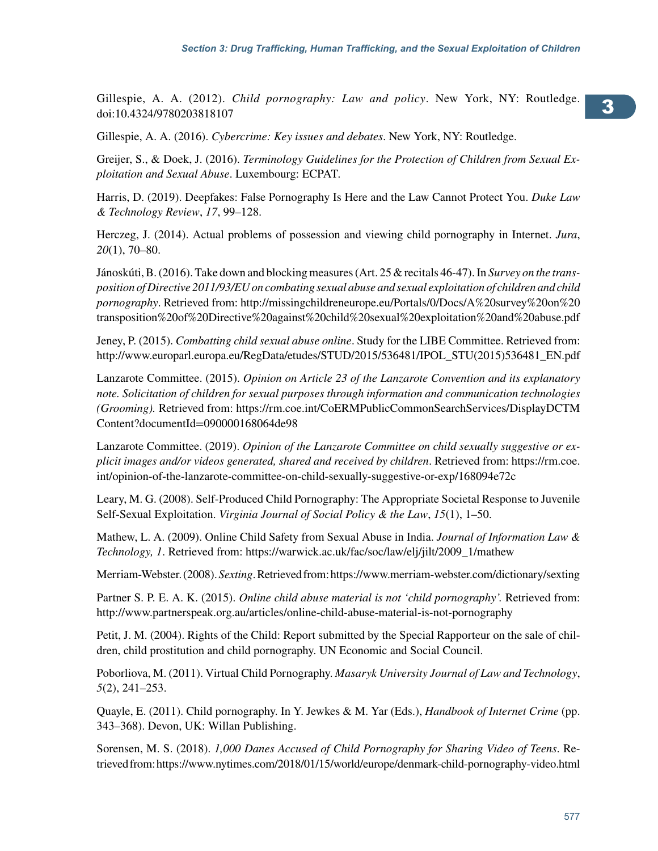Gillespie, A. A. (2012). *Child pornography: Law and policy*. New York, NY: Routledge. doi:10.4324/9780203818107

Gillespie, A. A. (2016). *Cybercrime: Key issues and debates*. New York, NY: Routledge.

Greijer, S., & Doek, J. (2016). *Terminology Guidelines for the Protection of Children from Sexual Exploitation and Sexual Abuse*. Luxembourg: ECPAT.

Harris, D. (2019). Deepfakes: False Pornography Is Here and the Law Cannot Protect You. *Duke Law & Technology Review*, *17*, 99–128.

Herczeg, J. (2014). Actual problems of possession and viewing child pornography in Internet. *Jura*, *20*(1), 70–80.

Jánoskúti, B. (2016). Take down and blocking measures (Art. 25 & recitals 46-47). In *Survey on the transposition of Directive 2011/93/EU on combating sexual abuse and sexual exploitation of children and child pornography*. Retrieved from: [http://missingchildreneurope.eu/Portals/0/Docs/A%20survey%20on%20](http://missingchildreneurope.eu/Portals/0/Docs/A%20survey%20on%20transposition%20of%20Directive%20against%20child%20sexual%20exploitation%20and%20abuse.pdf) [transposition%20of%20Directive%20against%20child%20sexual%20exploitation%20and%20abuse.pdf](http://missingchildreneurope.eu/Portals/0/Docs/A%20survey%20on%20transposition%20of%20Directive%20against%20child%20sexual%20exploitation%20and%20abuse.pdf)

Jeney, P. (2015). *Combatting child sexual abuse online*. Study for the LIBE Committee. Retrieved from: [http://www.europarl.europa.eu/RegData/etudes/STUD/2015/536481/IPOL\\_STU\(2015\)536481\\_EN.pdf](http://www.europarl.europa.eu/RegData/etudes/STUD/2015/536481/IPOL_STU(2015)536481_EN.pdf)

Lanzarote Committee. (2015). *Opinion on Article 23 of the Lanzarote Convention and its explanatory note. Solicitation of children for sexual purposes through information and communication technologies (Grooming).* Retrieved from: [https://rm.coe.int/CoERMPublicCommonSearchServices/DisplayDCTM](https://rm.coe.int/CoERMPublicCommonSearchServices/DisplayDCTMContent?documentId=090000168064de98) [Content?documentId=090000168064de98](https://rm.coe.int/CoERMPublicCommonSearchServices/DisplayDCTMContent?documentId=090000168064de98)

Lanzarote Committee. (2019). *Opinion of the Lanzarote Committee on child sexually suggestive or explicit images and/or videos generated, shared and received by children*. Retrieved from: [https://rm.coe.](https://rm.coe.int/opinion-of-the-lanzarote-committee-on-child-sexually-suggestive-or-exp/168094e72c) [int/opinion-of-the-lanzarote-committee-on-child-sexually-suggestive-or-exp/168094e72c](https://rm.coe.int/opinion-of-the-lanzarote-committee-on-child-sexually-suggestive-or-exp/168094e72c)

Leary, M. G. (2008). Self-Produced Child Pornography: The Appropriate Societal Response to Juvenile Self-Sexual Exploitation. *Virginia Journal of Social Policy & the Law*, *15*(1), 1–50.

Mathew, L. A. (2009). Online Child Safety from Sexual Abuse in India. *Journal of Information Law & Technology, 1*. Retrieved from: [https://warwick.ac.uk/fac/soc/law/elj/jilt/2009\\_1/mathew](https://warwick.ac.uk/fac/soc/law/elj/jilt/2009_1/mathew)

Merriam-Webster. (2008). *Sexting*. Retrieved from:<https://www.merriam-webster.com/dictionary/sexting>

Partner S. P. E. A. K. (2015). *Online child abuse material is not 'child pornography'.* Retrieved from: <http://www.partnerspeak.org.au/articles/online-child-abuse-material-is-not-pornography>

Petit, J. M. (2004). Rights of the Child: Report submitted by the Special Rapporteur on the sale of children, child prostitution and child pornography. UN Economic and Social Council.

Poborliova, M. (2011). Virtual Child Pornography. *Masaryk University Journal of Law and Technology*, *5*(2), 241–253.

Quayle, E. (2011). Child pornography. In Y. Jewkes & M. Yar (Eds.), *Handbook of Internet Crime* (pp. 343–368). Devon, UK: Willan Publishing.

Sorensen, M. S. (2018). *1,000 Danes Accused of Child Pornography for Sharing Video of Teens*. Retrieved from:<https://www.nytimes.com/2018/01/15/world/europe/denmark-child-pornography-video.html>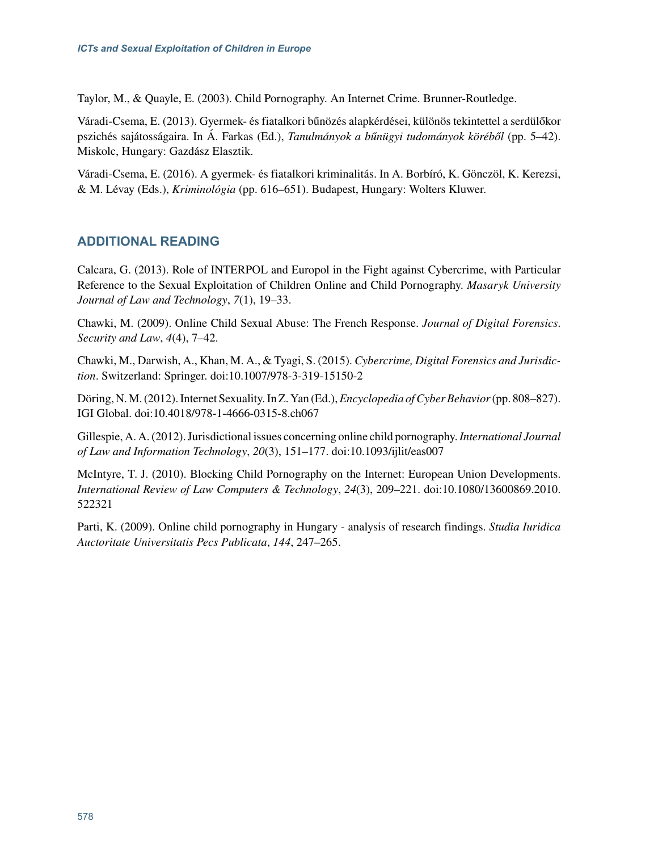Taylor, M., & Quayle, E. (2003). Child Pornography. An Internet Crime. Brunner-Routledge.

Váradi-Csema, E. (2013). Gyermek- és fiatalkori bűnözés alapkérdései, különös tekintettel a serdülőkor pszichés sajátosságaira. In Á. Farkas (Ed.), *Tanulmányok a bűnügyi tudományok köréből* (pp. 5–42). Miskolc, Hungary: Gazdász Elasztik.

Váradi-Csema, E. (2016). A gyermek- és fiatalkori kriminalitás. In A. Borbíró, K. Gönczöl, K. Kerezsi, & M. Lévay (Eds.), *Kriminológia* (pp. 616–651). Budapest, Hungary: Wolters Kluwer.

# **ADDITIONAL READING**

Calcara, G. (2013). Role of INTERPOL and Europol in the Fight against Cybercrime, with Particular Reference to the Sexual Exploitation of Children Online and Child Pornography. *Masaryk University Journal of Law and Technology*, *7*(1), 19–33.

Chawki, M. (2009). Online Child Sexual Abuse: The French Response. *Journal of Digital Forensics*. *Security and Law*, *4*(4), 7–42.

Chawki, M., Darwish, A., Khan, M. A., & Tyagi, S. (2015). *Cybercrime, Digital Forensics and Jurisdiction*. Switzerland: Springer. doi:10.1007/978-3-319-15150-2

Döring, N. M. (2012). Internet Sexuality. In Z. Yan (Ed.), *Encyclopedia of Cyber Behavior* (pp. 808–827). IGI Global. doi:10.4018/978-1-4666-0315-8.ch067

Gillespie, A. A. (2012). Jurisdictional issues concerning online child pornography. *International Journal of Law and Information Technology*, *20*(3), 151–177. doi:10.1093/ijlit/eas007

McIntyre, T. J. (2010). Blocking Child Pornography on the Internet: European Union Developments. *International Review of Law Computers & Technology*, *24*(3), 209–221. doi:10.1080/13600869.2010. 522321

Parti, K. (2009). Online child pornography in Hungary - analysis of research findings. *Studia Iuridica Auctoritate Universitatis Pecs Publicata*, *144*, 247–265.